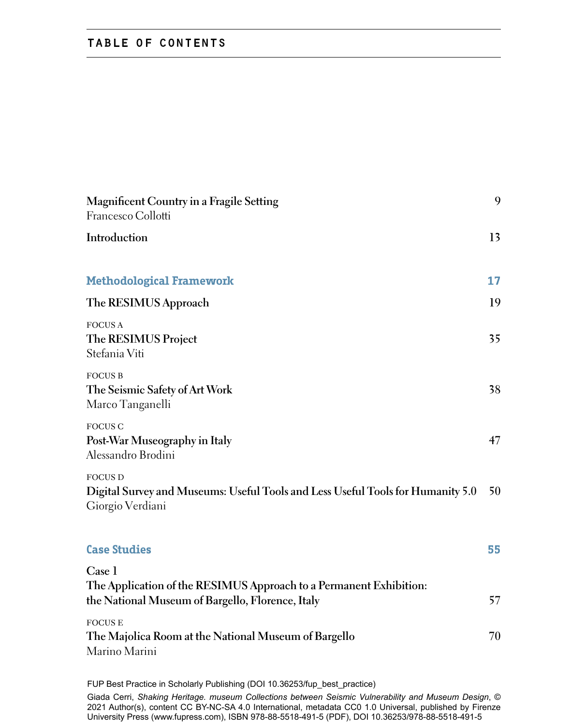## table of contents

| Magnificent Country in a Fragile Setting<br>Francesco Collotti                                                                   | 9  |
|----------------------------------------------------------------------------------------------------------------------------------|----|
| Introduction                                                                                                                     | 13 |
| <b>Methodological Framework</b>                                                                                                  | 17 |
| The RESIMUS Approach                                                                                                             | 19 |
| <b>FOCUS A</b><br>The RESIMUS Project<br>Stefania Viti                                                                           | 35 |
| <b>FOCUS B</b><br>The Seismic Safety of Art Work<br>Marco Tanganelli                                                             | 38 |
| <b>FOCUS C</b><br>Post-War Museography in Italy<br>Alessandro Brodini                                                            | 47 |
| <b>FOCUS D</b><br>Digital Survey and Museums: Useful Tools and Less Useful Tools for Humanity 5.0<br>Giorgio Verdiani            | 50 |
| <b>Case Studies</b>                                                                                                              | 55 |
| Case 1<br>The Application of the RESIMUS Approach to a Permanent Exhibition:<br>the National Museum of Bargello, Florence, Italy | 57 |
| <b>FOCUSE</b><br>The Majolica Room at the National Museum of Bargello<br>Marino Marini                                           | 70 |
|                                                                                                                                  |    |

FUP Best Practice in Scholarly Publishing (DOI [10.36253/fup\\_best\\_practice](https://doi.org/10.36253/fup_best_practice))

Giada Cerri, *Shaking Heritage. museum Collections between Seismic Vulnerability and Museum Design*, © 2021 Author(s), content [CC BY-NC-SA 4.0 International,](https://creativecommons.org/licenses/by-nc-sa/4.0/deed.en) metadata [CC0 1.0 Universal,](https://creativecommons.org/publicdomain/zero/1.0/legalcode) published by Firenze University Press [\(www.fupress.com](https://fupress.com/)), ISBN 978-88-5518-491-5 (PDF), [DOI 10.36253/978-88-5518-491-5](https://doi.org/10.36253/978-88-5518-491-5)